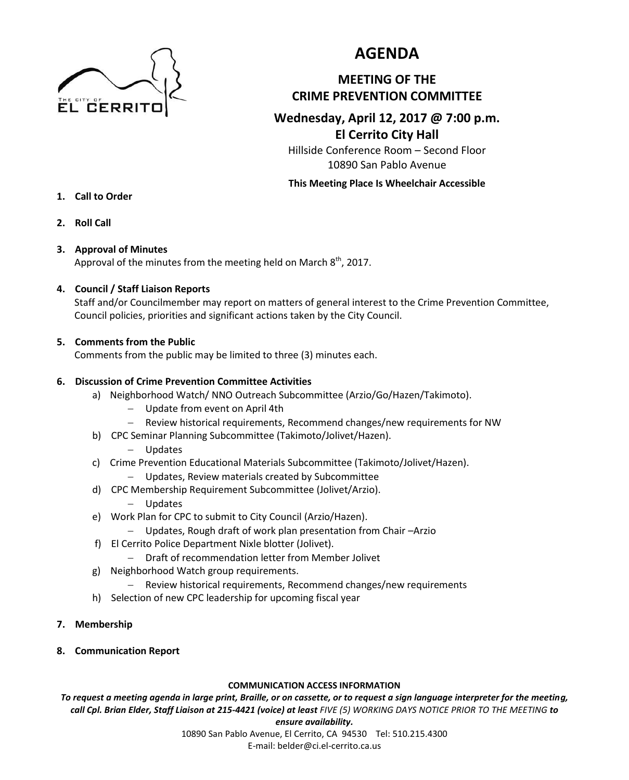

# **AGENDA**

# **MEETING OF THE CRIME PREVENTION COMMITTEE**

# **Wednesday, April 12, 2017 @ 7:00 p.m. El Cerrito City Hall**

Hillside Conference Room – Second Floor 10890 San Pablo Avenue

#### **This Meeting Place Is Wheelchair Accessible**

- **1. Call to Order**
- **2. Roll Call**

## **3. Approval of Minutes**

Approval of the minutes from the meeting held on March  $8^{\text{th}}$ , 2017.

## **4. Council / Staff Liaison Reports**

Staff and/or Councilmember may report on matters of general interest to the Crime Prevention Committee, Council policies, priorities and significant actions taken by the City Council.

## **5. Comments from the Public**

Comments from the public may be limited to three (3) minutes each.

## **6. Discussion of Crime Prevention Committee Activities**

- a) Neighborhood Watch/ NNO Outreach Subcommittee (Arzio/Go/Hazen/Takimoto).
	- Update from event on April 4th
	- Review historical requirements, Recommend changes/new requirements for NW
- b) CPC Seminar Planning Subcommittee (Takimoto/Jolivet/Hazen).
	- Updates
- c) Crime Prevention Educational Materials Subcommittee (Takimoto/Jolivet/Hazen).
	- Updates, Review materials created by Subcommittee
- d) CPC Membership Requirement Subcommittee (Jolivet/Arzio).
	- Updates
- e) Work Plan for CPC to submit to City Council (Arzio/Hazen).
	- Updates, Rough draft of work plan presentation from Chair –Arzio
- f) El Cerrito Police Department Nixle blotter (Jolivet).
	- Draft of recommendation letter from Member Jolivet
- g) Neighborhood Watch group requirements.
	- Review historical requirements, Recommend changes/new requirements
- h) Selection of new CPC leadership for upcoming fiscal year
- **7. Membership**
- **8. Communication Report**

#### **COMMUNICATION ACCESS INFORMATION**

*To request a meeting agenda in large print, Braille, or on cassette, or to request a sign language interpreter for the meeting, call Cpl. Brian Elder, Staff Liaison at 215-4421 (voice) at least FIVE (5) WORKING DAYS NOTICE PRIOR TO THE MEETING to* 

#### *ensure availability.*

10890 San Pablo Avenue, El Cerrito, CA 94530 Tel: 510.215.4300 E-mail: belder@ci.el-cerrito.ca.us